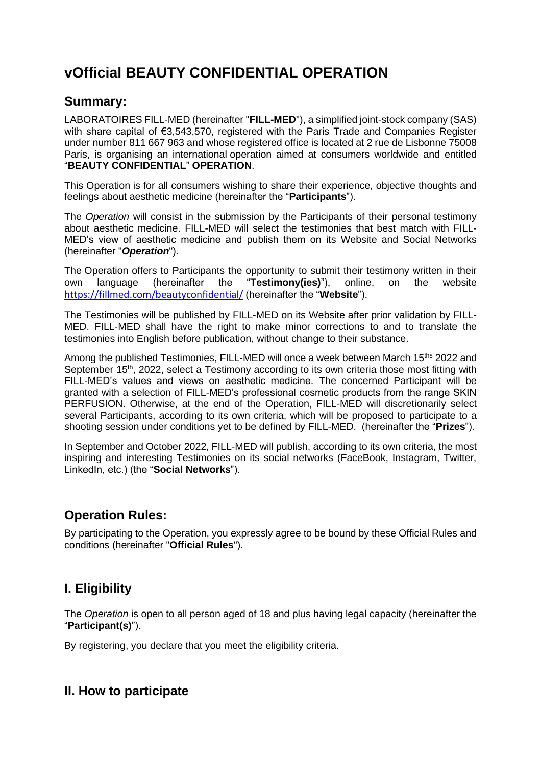# **vOfficial BEAUTY CONFIDENTIAL OPERATION**

# **Summary:**

LABORATOIRES FILL-MED (hereinafter "**FILL-MED**"), a simplified joint-stock company (SAS) with share capital of €3,543,570, registered with the Paris Trade and Companies Register under number 811 667 963 and whose registered office is located at 2 rue de Lisbonne 75008 Paris, is organising an international operation aimed at consumers worldwide and entitled "**BEAUTY CONFIDENTIAL**" **OPERATION**.

This Operation is for all consumers wishing to share their experience, objective thoughts and feelings about aesthetic medicine (hereinafter the "**Participants**").

The *Operation* will consist in the submission by the Participants of their personal testimony about aesthetic medicine. FILL-MED will select the testimonies that best match with FILL-MED's view of aesthetic medicine and publish them on its Website and Social Networks (hereinafter "*Operation*").

The Operation offers to Participants the opportunity to submit their testimony written in their own language (hereinafter the "**Testimony(ies)**"), online, on the website <https://fillmed.com/beautyconfidential/> (hereinafter the "**Website**").

The Testimonies will be published by FILL-MED on its Website after prior validation by FILL-MED. FILL-MED shall have the right to make minor corrections to and to translate the testimonies into English before publication, without change to their substance.

Among the published Testimonies, FILL-MED will once a week between March 15<sup>ths</sup> 2022 and September 15<sup>th</sup>, 2022, select a Testimony according to its own criteria those most fitting with FILL-MED's values and views on aesthetic medicine. The concerned Participant will be granted with a selection of FILL-MED's professional cosmetic products from the range SKIN PERFUSION. Otherwise, at the end of the Operation, FILL-MED will discretionarily select several Participants, according to its own criteria, which will be proposed to participate to a shooting session under conditions yet to be defined by FILL-MED. (hereinafter the "**Prizes**").

In September and October 2022, FILL-MED will publish, according to its own criteria, the most inspiring and interesting Testimonies on its social networks (FaceBook, Instagram, Twitter, LinkedIn, etc.) (the "**Social Networks**").

# **Operation Rules:**

By participating to the Operation, you expressly agree to be bound by these Official Rules and conditions (hereinafter "**Official Rules**").

# **I. Eligibility**

The *Operation* is open to all person aged of 18 and plus having legal capacity (hereinafter the "**Participant(s)**").

By registering, you declare that you meet the eligibility criteria.

# **II. How to participate**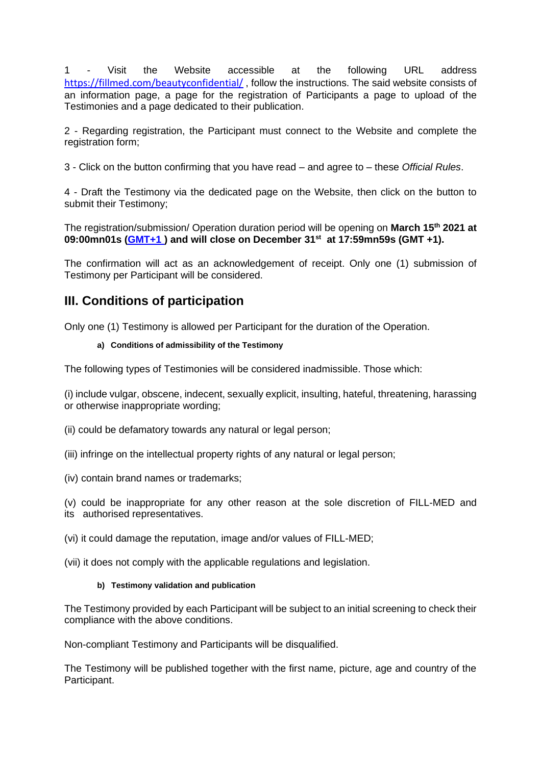1 - Visit the Website accessible at the following URL address <https://fillmed.com/beautyconfidential/>, follow the instructions. The said website consists of an information page, a page for the registration of Participants a page to upload of the Testimonies and a page dedicated to their publication.

2 - Regarding registration, the Participant must connect to the Website and complete the registration form;

3 - Click on the button confirming that you have read – and agree to – these *Official Rules*.

4 - Draft the Testimony via the dedicated page on the Website, then click on the button to submit their Testimony;

The registration/submission/ Operation duration period will be opening on **March 15th 2021 at 09:00mn01s [\(GMT+1](https://greenwichmeantime.com/time-zone/gmt-plus-1/) ) and will close on December 31st at 17:59mn59s (GMT +1).**

The confirmation will act as an acknowledgement of receipt. Only one (1) submission of Testimony per Participant will be considered.

# **III. Conditions of participation**

Only one (1) Testimony is allowed per Participant for the duration of the Operation.

#### **a) Conditions of admissibility of the Testimony**

The following types of Testimonies will be considered inadmissible. Those which:

(i) include vulgar, obscene, indecent, sexually explicit, insulting, hateful, threatening, harassing or otherwise inappropriate wording;

- (ii) could be defamatory towards any natural or legal person;
- (iii) infringe on the intellectual property rights of any natural or legal person;
- (iv) contain brand names or trademarks;

(v) could be inappropriate for any other reason at the sole discretion of FILL-MED and its authorised representatives.

(vi) it could damage the reputation, image and/or values of FILL-MED;

(vii) it does not comply with the applicable regulations and legislation.

#### **b) Testimony validation and publication**

The Testimony provided by each Participant will be subject to an initial screening to check their compliance with the above conditions.

Non-compliant Testimony and Participants will be disqualified.

The Testimony will be published together with the first name, picture, age and country of the Participant.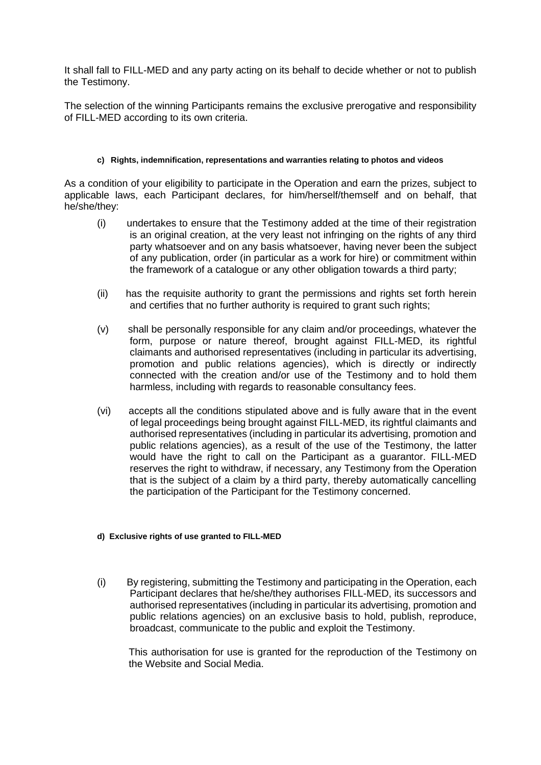It shall fall to FILL-MED and any party acting on its behalf to decide whether or not to publish the Testimony.

The selection of the winning Participants remains the exclusive prerogative and responsibility of FILL-MED according to its own criteria.

#### **c) Rights, indemnification, representations and warranties relating to photos and videos**

As a condition of your eligibility to participate in the Operation and earn the prizes, subject to applicable laws, each Participant declares, for him/herself/themself and on behalf, that he/she/they:

- (i) undertakes to ensure that the Testimony added at the time of their registration is an original creation, at the very least not infringing on the rights of any third party whatsoever and on any basis whatsoever, having never been the subject of any publication, order (in particular as a work for hire) or commitment within the framework of a catalogue or any other obligation towards a third party;
- (ii) has the requisite authority to grant the permissions and rights set forth herein and certifies that no further authority is required to grant such rights;
- (v) shall be personally responsible for any claim and/or proceedings, whatever the form, purpose or nature thereof, brought against FILL-MED, its rightful claimants and authorised representatives (including in particular its advertising, promotion and public relations agencies), which is directly or indirectly connected with the creation and/or use of the Testimony and to hold them harmless, including with regards to reasonable consultancy fees.
- (vi) accepts all the conditions stipulated above and is fully aware that in the event of legal proceedings being brought against FILL-MED, its rightful claimants and authorised representatives (including in particular its advertising, promotion and public relations agencies), as a result of the use of the Testimony, the latter would have the right to call on the Participant as a guarantor. FILL-MED reserves the right to withdraw, if necessary, any Testimony from the Operation that is the subject of a claim by a third party, thereby automatically cancelling the participation of the Participant for the Testimony concerned.

#### **d) Exclusive rights of use granted to FILL-MED**

(i) By registering, submitting the Testimony and participating in the Operation, each Participant declares that he/she/they authorises FILL-MED, its successors and authorised representatives (including in particular its advertising, promotion and public relations agencies) on an exclusive basis to hold, publish, reproduce, broadcast, communicate to the public and exploit the Testimony.

This authorisation for use is granted for the reproduction of the Testimony on the Website and Social Media.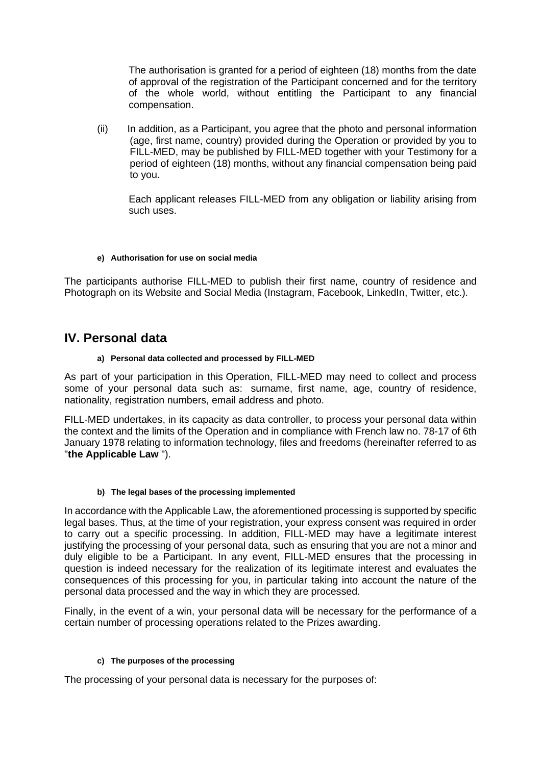The authorisation is granted for a period of eighteen (18) months from the date of approval of the registration of the Participant concerned and for the territory of the whole world, without entitling the Participant to any financial compensation.

(ii) In addition, as a Participant, you agree that the photo and personal information (age, first name, country) provided during the Operation or provided by you to FILL-MED, may be published by FILL-MED together with your Testimony for a period of eighteen (18) months, without any financial compensation being paid to you.

Each applicant releases FILL-MED from any obligation or liability arising from such uses.

#### **e) Authorisation for use on social media**

The participants authorise FILL-MED to publish their first name, country of residence and Photograph on its Website and Social Media (Instagram, Facebook, LinkedIn, Twitter, etc.).

### **IV. Personal data**

#### **a) Personal data collected and processed by FILL-MED**

As part of your participation in this Operation, FILL-MED may need to collect and process some of your personal data such as: surname, first name, age, country of residence, nationality, registration numbers, email address and photo.

FILL-MED undertakes, in its capacity as data controller, to process your personal data within the context and the limits of the Operation and in compliance with French law no. 78-17 of 6th January 1978 relating to information technology, files and freedoms (hereinafter referred to as "**the Applicable Law** ").

#### **b) The legal bases of the processing implemented**

In accordance with the Applicable Law, the aforementioned processing is supported by specific legal bases. Thus, at the time of your registration, your express consent was required in order to carry out a specific processing. In addition, FILL-MED may have a legitimate interest justifying the processing of your personal data, such as ensuring that you are not a minor and duly eligible to be a Participant. In any event, FILL-MED ensures that the processing in question is indeed necessary for the realization of its legitimate interest and evaluates the consequences of this processing for you, in particular taking into account the nature of the personal data processed and the way in which they are processed.

Finally, in the event of a win, your personal data will be necessary for the performance of a certain number of processing operations related to the Prizes awarding.

#### **c) The purposes of the processing**

The processing of your personal data is necessary for the purposes of: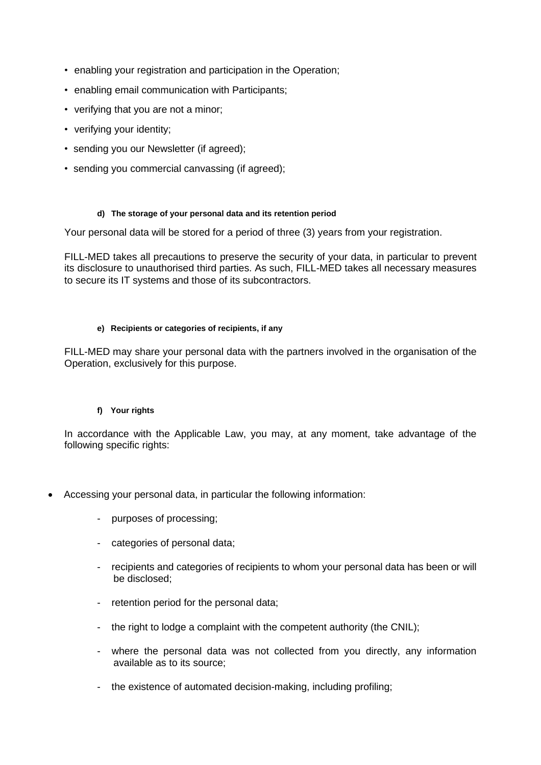- enabling your registration and participation in the Operation;
- enabling email communication with Participants;
- verifying that you are not a minor;
- verifying your identity;
- sending you our Newsletter (if agreed);
- sending you commercial canvassing (if agreed);

#### **d) The storage of your personal data and its retention period**

Your personal data will be stored for a period of three (3) years from your registration.

FILL-MED takes all precautions to preserve the security of your data, in particular to prevent its disclosure to unauthorised third parties. As such, FILL-MED takes all necessary measures to secure its IT systems and those of its subcontractors.

#### **e) Recipients or categories of recipients, if any**

FILL-MED may share your personal data with the partners involved in the organisation of the Operation, exclusively for this purpose.

#### **f) Your rights**

In accordance with the Applicable Law, you may, at any moment, take advantage of the following specific rights:

- Accessing your personal data, in particular the following information:
	- purposes of processing;
	- categories of personal data;
	- recipients and categories of recipients to whom your personal data has been or will be disclosed;
	- retention period for the personal data;
	- the right to lodge a complaint with the competent authority (the CNIL);
	- where the personal data was not collected from you directly, any information available as to its source;
	- the existence of automated decision-making, including profiling;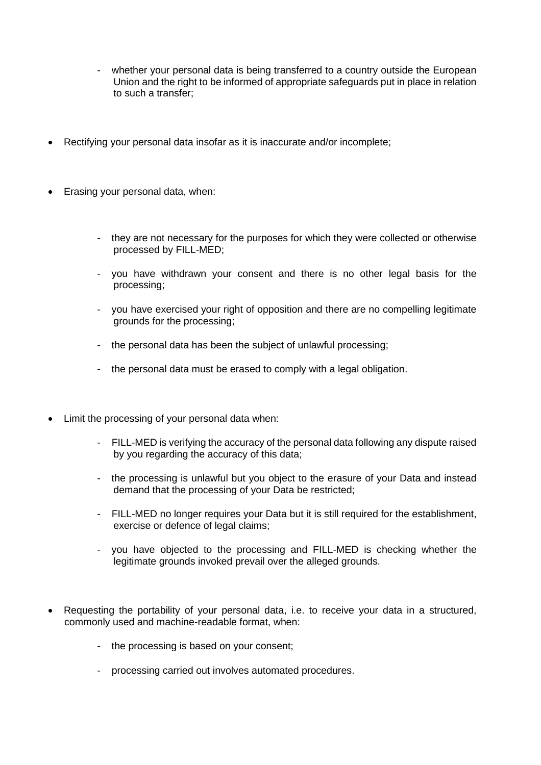- whether your personal data is being transferred to a country outside the European Union and the right to be informed of appropriate safeguards put in place in relation to such a transfer;
- Rectifying your personal data insofar as it is inaccurate and/or incomplete;
- Erasing your personal data, when:
	- they are not necessary for the purposes for which they were collected or otherwise processed by FILL-MED;
	- you have withdrawn your consent and there is no other legal basis for the processing;
	- you have exercised your right of opposition and there are no compelling legitimate grounds for the processing;
	- the personal data has been the subject of unlawful processing;
	- the personal data must be erased to comply with a legal obligation.
- Limit the processing of your personal data when:
	- FILL-MED is verifying the accuracy of the personal data following any dispute raised by you regarding the accuracy of this data;
	- the processing is unlawful but you object to the erasure of your Data and instead demand that the processing of your Data be restricted;
	- FILL-MED no longer requires your Data but it is still required for the establishment, exercise or defence of legal claims;
	- you have objected to the processing and FILL-MED is checking whether the legitimate grounds invoked prevail over the alleged grounds.
- Requesting the portability of your personal data, i.e. to receive your data in a structured, commonly used and machine-readable format, when:
	- the processing is based on your consent;
	- processing carried out involves automated procedures.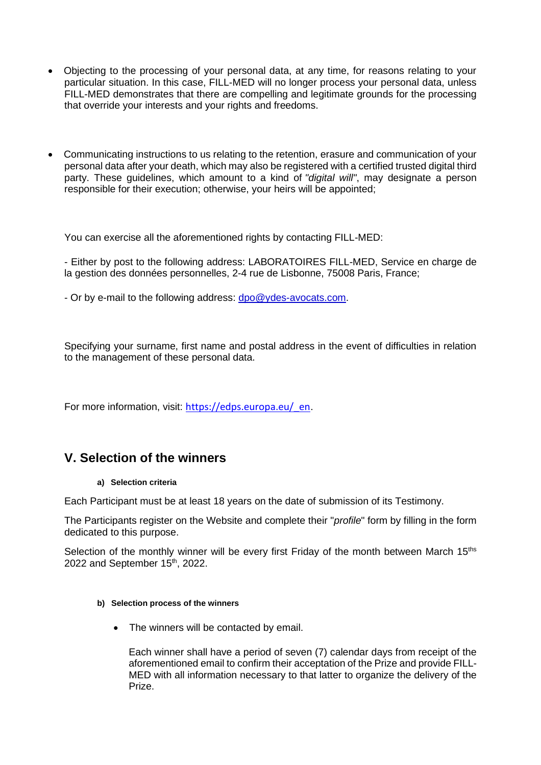- Objecting to the processing of your personal data, at any time, for reasons relating to your particular situation. In this case, FILL-MED will no longer process your personal data, unless FILL-MED demonstrates that there are compelling and legitimate grounds for the processing that override your interests and your rights and freedoms.
- Communicating instructions to us relating to the retention, erasure and communication of your personal data after your death, which may also be registered with a certified trusted digital third party. These guidelines, which amount to a kind of *"digital will"*, may designate a person responsible for their execution; otherwise, your heirs will be appointed;

You can exercise all the aforementioned rights by contacting FILL-MED:

- Either by post to the following address: LABORATOIRES FILL-MED, Service en charge de la gestion des données personnelles, 2-4 rue de Lisbonne, 75008 Paris, France;

- Or by e-mail to the following address: dpo@ydes-avocats.com.

Specifying your surname, first name and postal address in the event of difficulties in relation to the management of these personal data.

For more information, visit: [https://edps.europa.eu/\\_en](https://edps.europa.eu/_en).

# **V. Selection of the winners**

#### **a) Selection criteria**

Each Participant must be at least 18 years on the date of submission of its Testimony.

The Participants register on the Website and complete their "*profile*" form by filling in the form dedicated to this purpose.

Selection of the monthly winner will be every first Friday of the month between March 15<sup>ths</sup> 2022 and September 15<sup>th</sup>, 2022.

#### **b) Selection process of the winners**

• The winners will be contacted by email.

Each winner shall have a period of seven (7) calendar days from receipt of the aforementioned email to confirm their acceptation of the Prize and provide FILL-MED with all information necessary to that latter to organize the delivery of the Prize.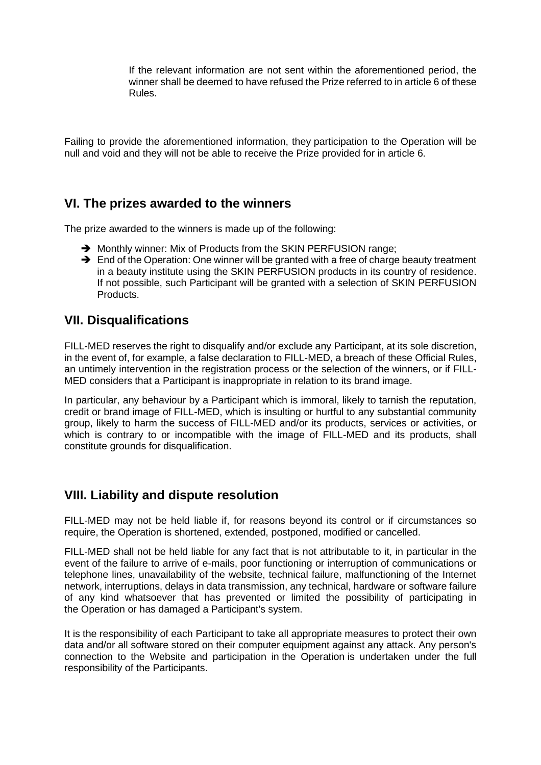If the relevant information are not sent within the aforementioned period, the winner shall be deemed to have refused the Prize referred to in article 6 of these Rules.

Failing to provide the aforementioned information, they participation to the Operation will be null and void and they will not be able to receive the Prize provided for in article 6.

# **VI. The prizes awarded to the winners**

The prize awarded to the winners is made up of the following:

- → Monthly winner: Mix of Products from the SKIN PERFUSION range;
- ➔ End of the Operation: One winner will be granted with a free of charge beauty treatment in a beauty institute using the SKIN PERFUSION products in its country of residence. If not possible, such Participant will be granted with a selection of SKIN PERFUSION Products.

### **VII. Disqualifications**

FILL-MED reserves the right to disqualify and/or exclude any Participant, at its sole discretion, in the event of, for example, a false declaration to FILL-MED, a breach of these Official Rules, an untimely intervention in the registration process or the selection of the winners, or if FILL-MED considers that a Participant is inappropriate in relation to its brand image.

In particular, any behaviour by a Participant which is immoral, likely to tarnish the reputation, credit or brand image of FILL-MED, which is insulting or hurtful to any substantial community group, likely to harm the success of FILL-MED and/or its products, services or activities, or which is contrary to or incompatible with the image of FILL-MED and its products, shall constitute grounds for disqualification.

# **VIII. Liability and dispute resolution**

FILL-MED may not be held liable if, for reasons beyond its control or if circumstances so require, the Operation is shortened, extended, postponed, modified or cancelled.

FILL-MED shall not be held liable for any fact that is not attributable to it, in particular in the event of the failure to arrive of e-mails, poor functioning or interruption of communications or telephone lines, unavailability of the website, technical failure, malfunctioning of the Internet network, interruptions, delays in data transmission, any technical, hardware or software failure of any kind whatsoever that has prevented or limited the possibility of participating in the Operation or has damaged a Participant's system.

It is the responsibility of each Participant to take all appropriate measures to protect their own data and/or all software stored on their computer equipment against any attack. Any person's connection to the Website and participation in the Operation is undertaken under the full responsibility of the Participants.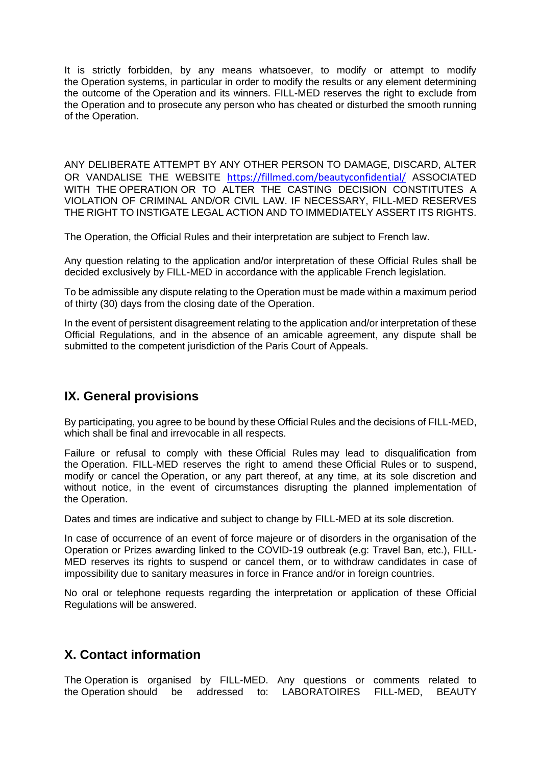It is strictly forbidden, by any means whatsoever, to modify or attempt to modify the Operation systems, in particular in order to modify the results or any element determining the outcome of the Operation and its winners. FILL-MED reserves the right to exclude from the Operation and to prosecute any person who has cheated or disturbed the smooth running of the Operation.

ANY DELIBERATE ATTEMPT BY ANY OTHER PERSON TO DAMAGE, DISCARD, ALTER OR VANDALISE THE WEBSITE <https://fillmed.com/beautyconfidential/> ASSOCIATED WITH THE OPERATION OR TO ALTER THE CASTING DECISION CONSTITUTES A VIOLATION OF CRIMINAL AND/OR CIVIL LAW. IF NECESSARY, FILL-MED RESERVES THE RIGHT TO INSTIGATE LEGAL ACTION AND TO IMMEDIATELY ASSERT ITS RIGHTS.

The Operation, the Official Rules and their interpretation are subject to French law.

Any question relating to the application and/or interpretation of these Official Rules shall be decided exclusively by FILL-MED in accordance with the applicable French legislation.

To be admissible any dispute relating to the Operation must be made within a maximum period of thirty (30) days from the closing date of the Operation.

In the event of persistent disagreement relating to the application and/or interpretation of these Official Regulations, and in the absence of an amicable agreement, any dispute shall be submitted to the competent jurisdiction of the Paris Court of Appeals.

# **IX. General provisions**

By participating, you agree to be bound by these Official Rules and the decisions of FILL-MED, which shall be final and irrevocable in all respects.

Failure or refusal to comply with these Official Rules may lead to disqualification from the Operation. FILL-MED reserves the right to amend these Official Rules or to suspend, modify or cancel the Operation, or any part thereof, at any time, at its sole discretion and without notice, in the event of circumstances disrupting the planned implementation of the Operation.

Dates and times are indicative and subject to change by FILL-MED at its sole discretion.

In case of occurrence of an event of force majeure or of disorders in the organisation of the Operation or Prizes awarding linked to the COVID-19 outbreak (e.g: Travel Ban, etc.), FILL-MED reserves its rights to suspend or cancel them, or to withdraw candidates in case of impossibility due to sanitary measures in force in France and/or in foreign countries.

No oral or telephone requests regarding the interpretation or application of these Official Regulations will be answered.

# **X. Contact information**

The Operation is organised by FILL-MED. Any questions or comments related to the Operation should be addressed to: LABORATOIRES FILL-MED, BEAUTY